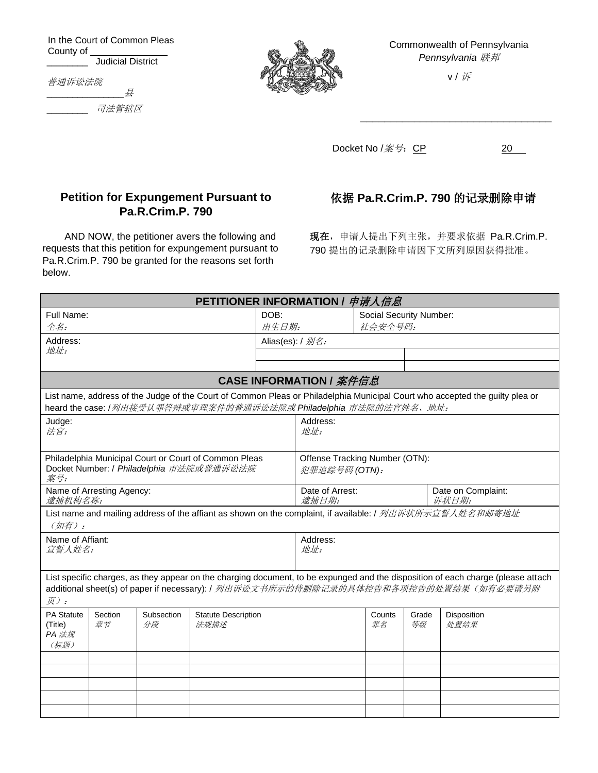In the Court of Common Pleas County of \_ \_\_\_\_\_\_\_\_ Judicial District

 $\not\equiv$ 

普通诉讼法院

below.

\_\_\_\_\_\_\_\_ 司法管辖区



Commonwealth of Pennsylvania *Pennsylvania* 联邦

v / 诉

\_\_\_\_\_\_\_\_\_\_\_\_\_\_\_\_\_\_\_\_\_\_\_\_\_\_\_\_\_\_\_\_

Docket No  $/$  $\tilde{\mathcal{R}}$  $\overline{\mathcal{G}}$ : CP 20

## **Petition for Expungement Pursuant to Pa.R.Crim.P. 790**

AND NOW, the petitioner avers the following and requests that this petition for expungement pursuant to Pa.R.Crim.P. 790 be granted for the reasons set forth

## 依据 **Pa.R.Crim.P. 790** 的记录删除申请

现在,申请人提出下列主张,并要求依据 Pa.R.Crim.P. 790 提出的记录删除申请因下文所列原因获得批准。

| Full Name:                                                                                                                                                                                       |               |                  | DOB:                               |                                                 | Social Security Number:  |              |             |                                                                                                                                                                                                                         |  |
|--------------------------------------------------------------------------------------------------------------------------------------------------------------------------------------------------|---------------|------------------|------------------------------------|-------------------------------------------------|--------------------------|--------------|-------------|-------------------------------------------------------------------------------------------------------------------------------------------------------------------------------------------------------------------------|--|
| $#Z$ :                                                                                                                                                                                           |               |                  | 出生日期:                              |                                                 |                          | 社会安全号码:      |             |                                                                                                                                                                                                                         |  |
| Address:                                                                                                                                                                                         |               |                  |                                    | Alias(es): / 别名:                                |                          |              |             |                                                                                                                                                                                                                         |  |
| 地址:                                                                                                                                                                                              |               |                  |                                    |                                                 |                          |              |             |                                                                                                                                                                                                                         |  |
|                                                                                                                                                                                                  |               |                  |                                    |                                                 |                          |              |             |                                                                                                                                                                                                                         |  |
| <b>CASE INFORMATION / 案件信息</b>                                                                                                                                                                   |               |                  |                                    |                                                 |                          |              |             |                                                                                                                                                                                                                         |  |
| List name, address of the Judge of the Court of Common Pleas or Philadelphia Municipal Court who accepted the guilty plea or<br>heard the case: /列出接受认罪答辩或审理案件的普通诉讼法院或 Philadelphia 市法院的法官姓名、地址: |               |                  |                                    |                                                 |                          |              |             |                                                                                                                                                                                                                         |  |
| Judge:<br>法官:                                                                                                                                                                                    |               |                  |                                    |                                                 | Address:<br>地址:          |              |             |                                                                                                                                                                                                                         |  |
| Philadelphia Municipal Court or Court of Common Pleas<br>Docket Number: / Philadelphia 市法院或普通诉讼法院<br>案号:                                                                                         |               |                  |                                    | Offense Tracking Number (OTN):<br>犯罪追踪号码 (OTN): |                          |              |             |                                                                                                                                                                                                                         |  |
| Name of Arresting Agency:<br>逮捕机构名称:                                                                                                                                                             |               |                  |                                    |                                                 | Date of Arrest:<br>逮捕日期: |              |             | Date on Complaint:<br>诉状日期:                                                                                                                                                                                             |  |
| (如有):                                                                                                                                                                                            |               |                  |                                    |                                                 |                          |              |             | List name and mailing address of the affiant as shown on the complaint, if available: / 列出诉状所示宣誓人姓名和邮寄地址                                                                                                                |  |
| Name of Affiant:<br>宣誓人姓名:                                                                                                                                                                       |               |                  |                                    | Address:<br>地址:                                 |                          |              |             |                                                                                                                                                                                                                         |  |
| $\bar{\mathcal{F}}$ ):                                                                                                                                                                           |               |                  |                                    |                                                 |                          |              |             | List specific charges, as they appear on the charging document, to be expunged and the disposition of each charge (please attach<br>additional sheet(s) of paper if necessary): / 列出诉讼文书所示的待删除记录的具体控告和各项控告的处置结果(如有必要请另附 |  |
| <b>PA Statute</b><br>(Title)<br>PA 法规<br>(标题)                                                                                                                                                    | Section<br>章节 | Subsection<br>分段 | <b>Statute Description</b><br>法规描述 |                                                 |                          | Counts<br>罪名 | Grade<br>等级 | Disposition<br>处置结果                                                                                                                                                                                                     |  |
|                                                                                                                                                                                                  |               |                  |                                    |                                                 |                          |              |             |                                                                                                                                                                                                                         |  |
|                                                                                                                                                                                                  |               |                  |                                    |                                                 |                          |              |             |                                                                                                                                                                                                                         |  |
|                                                                                                                                                                                                  |               |                  |                                    |                                                 |                          |              |             |                                                                                                                                                                                                                         |  |
|                                                                                                                                                                                                  |               |                  |                                    |                                                 |                          |              |             |                                                                                                                                                                                                                         |  |
|                                                                                                                                                                                                  |               |                  |                                    |                                                 |                          |              |             |                                                                                                                                                                                                                         |  |